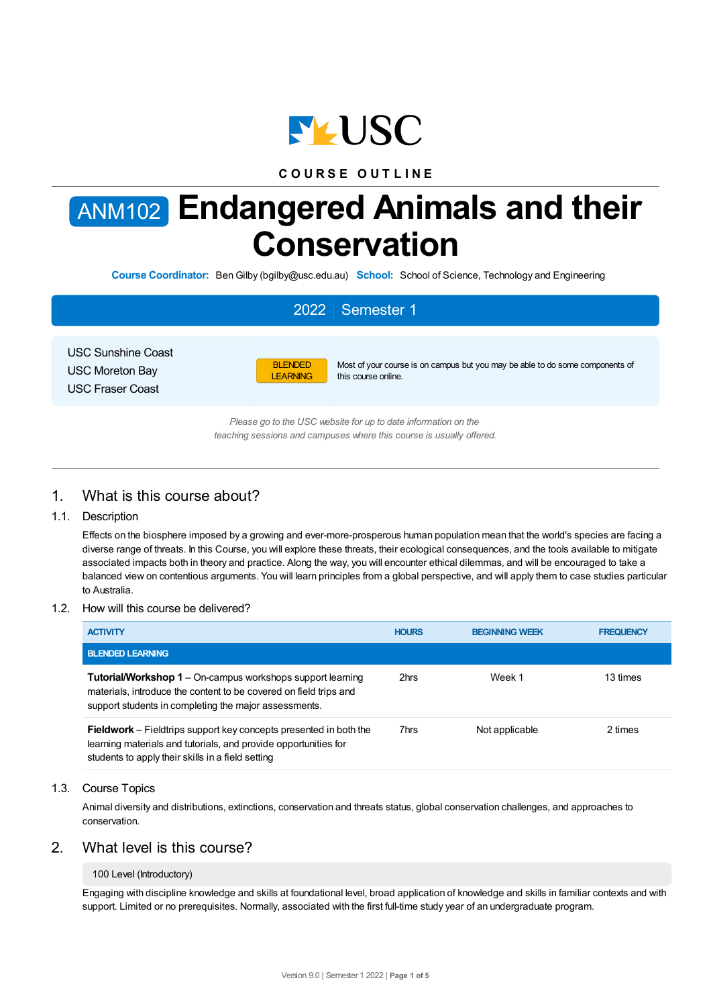

# **C O U R S E O U T L I N E**

# ANM102 **Endangered Animals and their Conservation**

**Course Coordinator:** BenGilby (bgilby@usc.edu.au) **School:** School of Science, Technology and Engineering

# 2022 Semester 1

USC Sunshine Coast USC Moreton Bay USC Fraser Coast



Most of your course is on campus but you may be able to do some components of this course online.

*Please go to the USC website for up to date information on the teaching sessions and campuses where this course is usually offered.*

# 1. What is this course about?

# 1.1. Description

Effects on the biosphere imposed by a growing and ever-more-prosperous human population mean that the world's species are facing a diverse range of threats. In this Course, you will explore these threats, their ecological consequences, and the tools available to mitigate associated impacts both in theory and practice. Along the way, you will encounter ethical dilemmas, and will be encouraged to take a balanced view on contentious arguments. You will learn principles from a global perspective, and will apply them to case studies particular to Australia.

## 1.2. How will this course be delivered?

| <b>ACTIVITY</b>                                                                                                                                                                                  | <b>HOURS</b> | <b>BEGINNING WEEK</b> | <b>FREQUENCY</b> |
|--------------------------------------------------------------------------------------------------------------------------------------------------------------------------------------------------|--------------|-----------------------|------------------|
| <b>BLENDED LEARNING</b>                                                                                                                                                                          |              |                       |                  |
| <b>Tutorial/Workshop 1</b> – On-campus workshops support learning<br>materials, introduce the content to be covered on field trips and<br>support students in completing the major assessments.  | 2hrs         | Week 1                | 13 times         |
| <b>Fieldwork</b> – Fieldtrips support key concepts presented in both the<br>learning materials and tutorials, and provide opportunities for<br>students to apply their skills in a field setting | 7hrs         | Not applicable        | 2 times          |

## 1.3. Course Topics

Animal diversity and distributions, extinctions, conservation and threats status, global conservation challenges, and approaches to conservation.

# 2. What level is this course?

#### 100 Level (Introductory)

Engaging with discipline knowledge and skills at foundational level, broad application of knowledge and skills in familiar contexts and with support. Limited or no prerequisites. Normally, associated with the first full-time study year of an undergraduate program.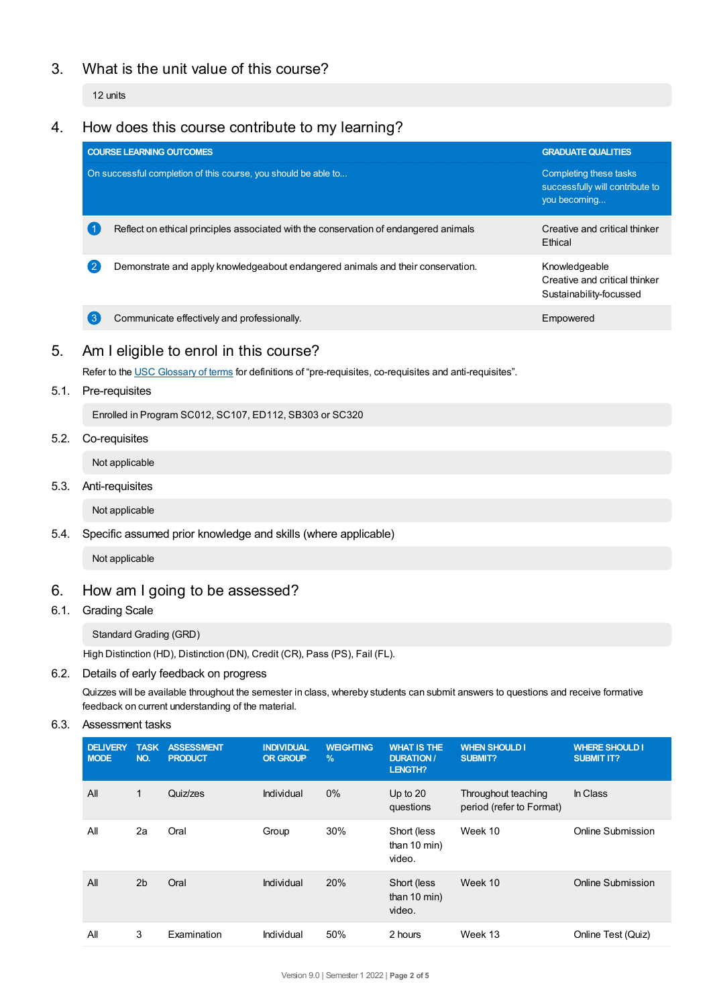# 3. What is the unit value of this course?

12 units

# 4. How does this course contribute to my learning?

| On successful completion of this course, you should be able to<br>you becoming<br>Reflect on ethical principles associated with the conservation of endangered animals<br>Ethical | <b>GRADUATE QUALITIES</b>                                 |
|-----------------------------------------------------------------------------------------------------------------------------------------------------------------------------------|-----------------------------------------------------------|
|                                                                                                                                                                                   | Completing these tasks<br>successfully will contribute to |
|                                                                                                                                                                                   | Creative and critical thinker                             |
| Demonstrate and apply knowledgeabout endangered animals and their conservation.<br>Knowledgeable                                                                                  | Creative and critical thinker<br>Sustainability-focussed  |
| Communicate effectively and professionally.<br>3<br>Empowered                                                                                                                     |                                                           |

# 5. Am Ieligible to enrol in this course?

Refer to the USC [Glossary](https://www.usc.edu.au/about/policies-and-procedures/glossary-of-terms-for-policy-and-procedures) of terms for definitions of "pre-requisites, co-requisites and anti-requisites".

# 5.1. Pre-requisites

Enrolled in Program SC012, SC107, ED112, SB303 or SC320

# 5.2. Co-requisites

Not applicable

## 5.3. Anti-requisites

Not applicable

# 5.4. Specific assumed prior knowledge and skills (where applicable)

Not applicable

# 6. How am Igoing to be assessed?

# 6.1. Grading Scale

# Standard Grading (GRD)

High Distinction (HD), Distinction (DN), Credit (CR), Pass (PS), Fail (FL).

# 6.2. Details of early feedback on progress

Quizzes will be available throughout the semester in class, whereby students can submit answers to questions and receive formative feedback on current understanding of the material.

# 6.3. Assessment tasks

| <b>DELIVERY</b><br><b>MODE</b> | <b>TASK</b><br>NO. | <b>ASSESSMENT</b><br><b>PRODUCT</b> | <b>INDIVIDUAL</b><br><b>OR GROUP</b> | <b>WEIGHTING</b><br>$\%$ | <b>WHAT IS THE</b><br><b>DURATION /</b><br><b>LENGTH?</b> | <b>WHEN SHOULD I</b><br>SUBMIT?                 | <b>WHERE SHOULD I</b><br><b>SUBMIT IT?</b> |
|--------------------------------|--------------------|-------------------------------------|--------------------------------------|--------------------------|-----------------------------------------------------------|-------------------------------------------------|--------------------------------------------|
| All                            | 1                  | Quiz/zes                            | Individual                           | 0%                       | Up to $20$<br>questions                                   | Throughout teaching<br>period (refer to Format) | In Class                                   |
| All                            | 2a                 | Oral                                | Group                                | 30%                      | Short (less<br>than 10 min)<br>video.                     | Week 10                                         | Online Submission                          |
| All                            | 2 <sub>b</sub>     | Oral                                | Individual                           | 20%                      | Short (less<br>than 10 min)<br>video.                     | Week 10                                         | Online Submission                          |
| All                            | 3                  | Examination                         | Individual                           | 50%                      | 2 hours                                                   | Week 13                                         | Online Test (Quiz)                         |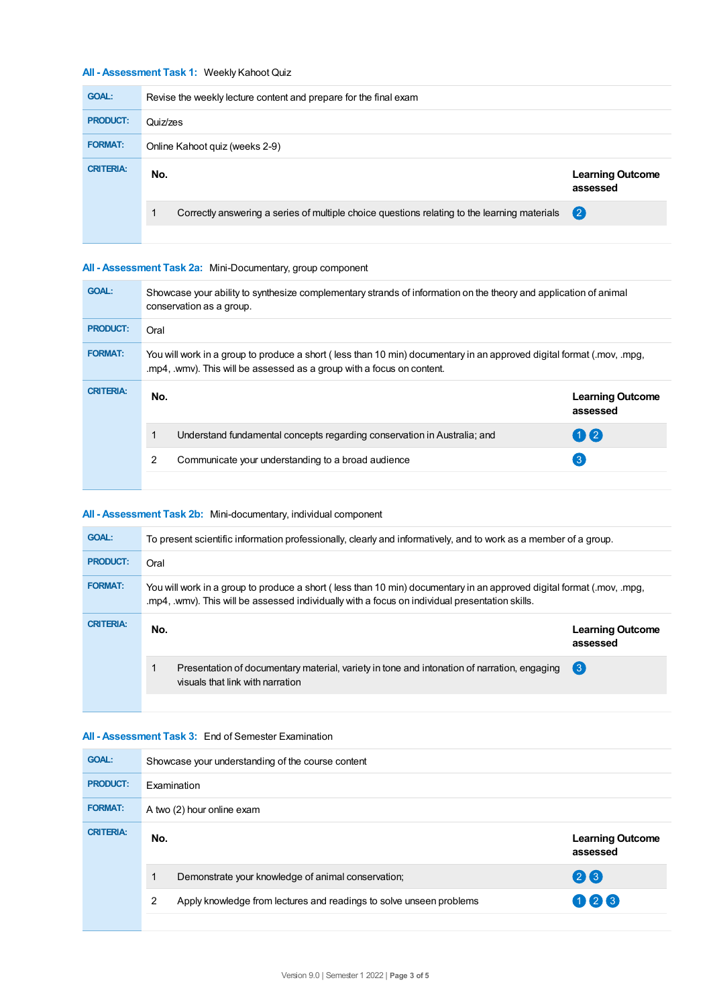# **All - Assessment Task 1:** Weekly Kahoot Quiz

| <b>GOAL:</b>     | Revise the weekly lecture content and prepare for the final exam                             |                                     |  |  |
|------------------|----------------------------------------------------------------------------------------------|-------------------------------------|--|--|
| <b>PRODUCT:</b>  | Quiz/zes                                                                                     |                                     |  |  |
| <b>FORMAT:</b>   | Online Kahoot quiz (weeks 2-9)                                                               |                                     |  |  |
| <b>CRITERIA:</b> | No.                                                                                          | <b>Learning Outcome</b><br>assessed |  |  |
|                  | Correctly answering a series of multiple choice questions relating to the learning materials | $\left( 2\right)$                   |  |  |
|                  |                                                                                              |                                     |  |  |

# **All - Assessment Task 2a:** Mini-Documentary, group component

| <b>GOAL:</b>     | Showcase your ability to synthesize complementary strands of information on the theory and application of animal<br>conservation as a group.                                                    |                                                                          |                                     |  |  |
|------------------|-------------------------------------------------------------------------------------------------------------------------------------------------------------------------------------------------|--------------------------------------------------------------------------|-------------------------------------|--|--|
| <b>PRODUCT:</b>  | Oral                                                                                                                                                                                            |                                                                          |                                     |  |  |
| <b>FORMAT:</b>   | You will work in a group to produce a short (less than 10 min) documentary in an approved digital format (.mov, .mpg,<br>.mp4, .wmv). This will be assessed as a group with a focus on content. |                                                                          |                                     |  |  |
| <b>CRITERIA:</b> | No.                                                                                                                                                                                             |                                                                          | <b>Learning Outcome</b><br>assessed |  |  |
|                  |                                                                                                                                                                                                 | Understand fundamental concepts regarding conservation in Australia; and | $\mathbf{1}$                        |  |  |
|                  | 2                                                                                                                                                                                               | Communicate your understanding to a broad audience                       | $\left  \cdot \right $              |  |  |
|                  |                                                                                                                                                                                                 |                                                                          |                                     |  |  |

# **All - Assessment Task 2b:** Mini-documentary, individual component

| <b>GOAL:</b>     | To present scientific information professionally, clearly and informatively, and to work as a member of a group.                                                                                                         |                                     |  |  |  |
|------------------|--------------------------------------------------------------------------------------------------------------------------------------------------------------------------------------------------------------------------|-------------------------------------|--|--|--|
| <b>PRODUCT:</b>  | Oral                                                                                                                                                                                                                     |                                     |  |  |  |
| <b>FORMAT:</b>   | You will work in a group to produce a short (less than 10 min) documentary in an approved digital format (.mov, .mpg,<br>.mp4, .wmy). This will be assessed individually with a focus on individual presentation skills. |                                     |  |  |  |
| <b>CRITERIA:</b> | No.                                                                                                                                                                                                                      | <b>Learning Outcome</b><br>assessed |  |  |  |
|                  | Presentation of documentary material, variety in tone and intonation of narration, engaging<br>visuals that link with narration                                                                                          | $\left(3\right)$                    |  |  |  |
|                  |                                                                                                                                                                                                                          |                                     |  |  |  |

## **All - Assessment Task 3:** End of Semester Examination

| <b>GOAL:</b>     | Showcase your understanding of the course content  |                                                                            |  |  |  |
|------------------|----------------------------------------------------|----------------------------------------------------------------------------|--|--|--|
| <b>PRODUCT:</b>  | Examination                                        |                                                                            |  |  |  |
| <b>FORMAT:</b>   | A two (2) hour online exam                         |                                                                            |  |  |  |
| <b>CRITERIA:</b> | No.                                                | <b>Learning Outcome</b><br>assessed                                        |  |  |  |
|                  | Demonstrate your knowledge of animal conservation; | 23                                                                         |  |  |  |
|                  | 2                                                  | 026<br>Apply knowledge from lectures and readings to solve unseen problems |  |  |  |
|                  |                                                    |                                                                            |  |  |  |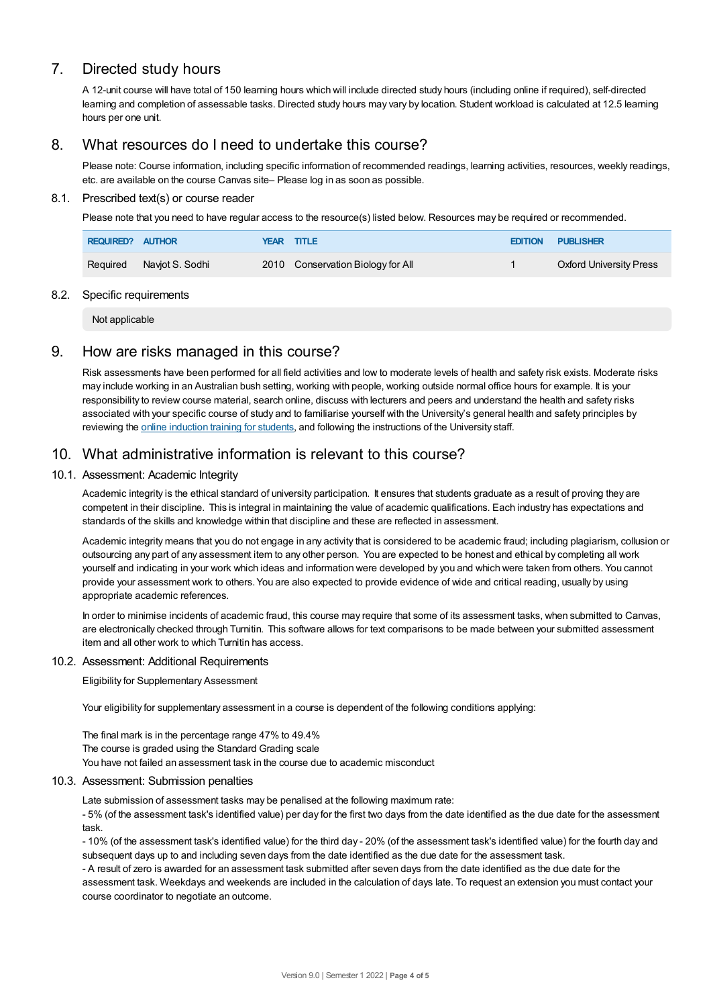# 7. Directed study hours

A 12-unit course will have total of 150 learning hours which will include directed study hours (including online if required), self-directed learning and completion of assessable tasks. Directed study hours may vary by location. Student workload is calculated at 12.5 learning hours per one unit.

# 8. What resources do I need to undertake this course?

Please note: Course information, including specific information of recommended readings, learning activities, resources, weekly readings, etc. are available on the course Canvas site– Please log in as soon as possible.

#### 8.1. Prescribed text(s) or course reader

Please note that you need to have regular access to the resource(s) listed below. Resources may be required or recommended.

| <b>REQUIRED? AUTHOR</b> |                          | YEAR TITLE                        | <b>EDITION PUBLISHER</b>       |
|-------------------------|--------------------------|-----------------------------------|--------------------------------|
|                         | Required Naviot S. Sodhi | 2010 Conservation Biology for All | <b>Oxford University Press</b> |

#### 8.2. Specific requirements

Not applicable

# 9. How are risks managed in this course?

Risk assessments have been performed for all field activities and low to moderate levels of health and safety risk exists. Moderate risks may include working in an Australian bush setting, working with people, working outside normal office hours for example. It is your responsibility to review course material, search online, discuss with lecturers and peers and understand the health and safety risks associated with your specific course of study and to familiarise yourself with the University's general health and safety principles by reviewing the online [induction](https://online.usc.edu.au/webapps/blackboard/content/listContentEditable.jsp?content_id=_632657_1&course_id=_14432_1) training for students, and following the instructions of the University staff.

# 10. What administrative information is relevant to this course?

## 10.1. Assessment: Academic Integrity

Academic integrity is the ethical standard of university participation. It ensures that students graduate as a result of proving they are competent in their discipline. This is integral in maintaining the value of academic qualifications. Each industry has expectations and standards of the skills and knowledge within that discipline and these are reflected in assessment.

Academic integrity means that you do not engage in any activity that is considered to be academic fraud; including plagiarism, collusion or outsourcing any part of any assessment item to any other person. You are expected to be honest and ethical by completing all work yourself and indicating in your work which ideas and information were developed by you and which were taken from others. You cannot provide your assessment work to others.You are also expected to provide evidence of wide and critical reading, usually by using appropriate academic references.

In order to minimise incidents of academic fraud, this course may require that some of its assessment tasks, when submitted to Canvas, are electronically checked through Turnitin. This software allows for text comparisons to be made between your submitted assessment item and all other work to which Turnitin has access.

#### 10.2. Assessment: Additional Requirements

Eligibility for Supplementary Assessment

Your eligibility for supplementary assessment in a course is dependent of the following conditions applying:

The final mark is in the percentage range 47% to 49.4% The course is graded using the Standard Grading scale You have not failed an assessment task in the course due to academic misconduct

#### 10.3. Assessment: Submission penalties

Late submission of assessment tasks may be penalised at the following maximum rate:

- 5% (of the assessment task's identified value) per day for the first two days from the date identified as the due date for the assessment task.

- 10% (of the assessment task's identified value) for the third day - 20% (of the assessment task's identified value) for the fourth day and subsequent days up to and including seven days from the date identified as the due date for the assessment task.

- A result of zero is awarded for an assessment task submitted after seven days from the date identified as the due date for the assessment task. Weekdays and weekends are included in the calculation of days late. To request an extension you must contact your course coordinator to negotiate an outcome.